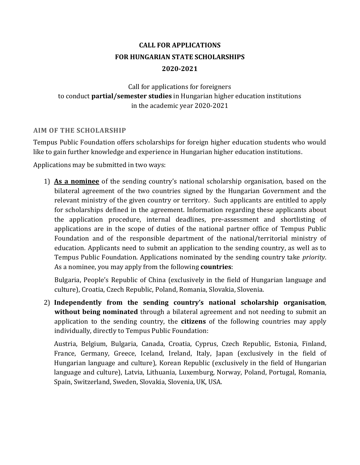# **CALL FOR APPLICATIONS FOR HUNGARIAN STATE SCHOLARSHIPS 2020-2021**

Call for applications for foreigners to conduct **partial/semester studies** in Hungarian higher education institutions in the academic year 2020-2021

## **AIM OF THE SCHOLARSHIP**

Tempus Public Foundation offers scholarships for foreign higher education students who would like to gain further knowledge and experience in Hungarian higher education institutions.

Applications may be submitted in two ways:

1) **As a nominee** of the sending country's national scholarship organisation, based on the bilateral agreement of the two countries signed by the Hungarian Government and the relevant ministry of the given country or territory. Such applicants are entitled to apply for scholarships defined in the agreement. Information regarding these applicants about the application procedure, internal deadlines, pre-assessment and shortlisting of applications are in the scope of duties of the national partner office of Tempus Public Foundation and of the responsible department of the national/territorial ministry of education. Applicants need to submit an application to the sending country, as well as to Tempus Public Foundation. Applications nominated by the sending country take *priority*. As a nominee, you may apply from the following **countries**:

Bulgaria, People's Republic of China (exclusively in the field of Hungarian language and culture), Croatia, Czech Republic, Poland, Romania, Slovakia, Slovenia.

2) **Independently from the sending country's national scholarship organisation**, **without being nominated** through a bilateral agreement and not needing to submit an application to the sending country, the **citizens** of the following countries may apply individually, directly to Tempus Public Foundation:

Austria, Belgium, Bulgaria, Canada, Croatia, Cyprus, Czech Republic, Estonia, Finland, France, Germany, Greece, Iceland, Ireland, Italy, Japan (exclusively in the field of Hungarian language and culture), Korean Republic (exclusively in the field of Hungarian language and culture), Latvia, Lithuania, Luxemburg, Norway, Poland, Portugal, Romania, Spain, Switzerland, Sweden, Slovakia, Slovenia, UK, USA.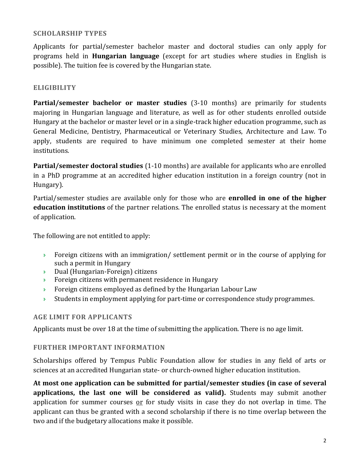## **SCHOLARSHIP TYPES**

Applicants for partial/semester bachelor master and doctoral studies can only apply for programs held in **Hungarian language** (except for art studies where studies in English is possible). The tuition fee is covered by the Hungarian state.

## **ELIGIBILITY**

**Partial/semester bachelor or master studies** (3-10 months) are primarily for students majoring in Hungarian language and literature, as well as for other students enrolled outside Hungary at the bachelor or master level or in a single-track higher education programme, such as General Medicine, Dentistry, Pharmaceutical or Veterinary Studies, Architecture and Law. To apply, students are required to have minimum one completed semester at their home institutions.

**Partial/semester doctoral studies** (1-10 months) are available for applicants who are enrolled in a PhD programme at an accredited higher education institution in a foreign country (not in Hungary).

Partial/semester studies are available only for those who are **enrolled in one of the higher education institutions** of the partner relations. The enrolled status is necessary at the moment of application.

The following are not entitled to apply:

- **Foreign citizens with an immigration/ settlement permit or in the course of applying for** such a permit in Hungary
- Dual (Hungarian-Foreign) citizens
- **Foreign citizens with permanent residence in Hungary**
- **Foreign citizens employed as defined by the Hungarian Labour Law**
- $\rightarrow$  Students in employment applying for part-time or correspondence study programmes.

## **AGE LIMIT FOR APPLICANTS**

Applicants must be over 18 at the time of submitting the application. There is no age limit.

#### **FURTHER IMPORTANT INFORMATION**

Scholarships offered by Tempus Public Foundation allow for studies in any field of arts or sciences at an accredited Hungarian state- or church-owned higher education institution.

**At most one application can be submitted for partial/semester studies (in case of several applications, the last one will be considered as valid).** Students may submit another application for summer courses <u>or</u> for study visits in case they do not overlap in time. The applicant can thus be granted with a second scholarship if there is no time overlap between the two and if the budgetary allocations make it possible.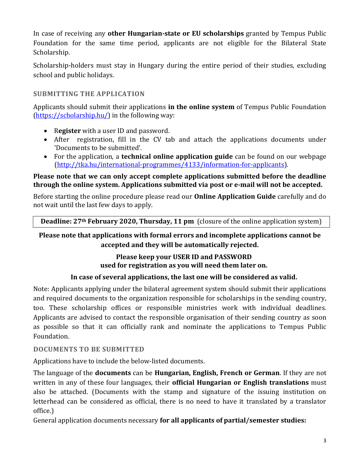In case of receiving any **other Hungarian-state or EU scholarships** granted by Tempus Public Foundation for the same time period, applicants are not eligible for the Bilateral State Scholarship.

Scholarship-holders must stay in Hungary during the entire period of their studies, excluding school and public holidays.

# **SUBMITTING THE APPLICATION**

Applicants should submit their applications **in the online system** of Tempus Public Foundation [\(https://scholarship.hu/\)](https://scholarship.hu/) in the following way:

- R**egister** with a user ID and password.
- After registration, fill in the CV tab and attach the applications documents under 'Documents to be submitted'.
- For the application, a **technical online application guide** can be found on our webpage [\(http://tka.hu/international-programmes/4133/information-for-applicants\)](http://tka.hu/international-programmes/4133/information-for-applicants).

## **Please note that we can only accept complete applications submitted before the deadline through the online system. Applications submitted via post or e-mail will not be accepted.**

Before starting the online procedure please read our **Online Application Guide** carefully and do not wait until the last few days to apply.

**Deadline: 27th February 2020, Thursday, 11 pm** (closure of the online application system)

# **Please note that applications with formal errors and incomplete applications cannot be accepted and they will be automatically rejected.**

# **Please keep your USER ID and PASSWORD used for registration as you will need them later on.**

# **In case of several applications, the last one will be considered as valid.**

Note: Applicants applying under the bilateral agreement system should submit their applications and required documents to the organization responsible for scholarships in the sending country, too. These scholarship offices or responsible ministries work with individual deadlines. Applicants are advised to contact the responsible organisation of their sending country as soon as possible so that it can officially rank and nominate the applications to Tempus Public Foundation.

## **DOCUMENTS TO BE SUBMITTED**

Applications have to include the below-listed documents.

The language of the **documents** can be **Hungarian, English, French or German**. If they are not written in any of these four languages, their **official Hungarian or English translations** must also be attached. (Documents with the stamp and signature of the issuing institution on letterhead can be considered as official, there is no need to have it translated by a translator office.)

General application documents necessary **for all applicants of partial/semester studies:**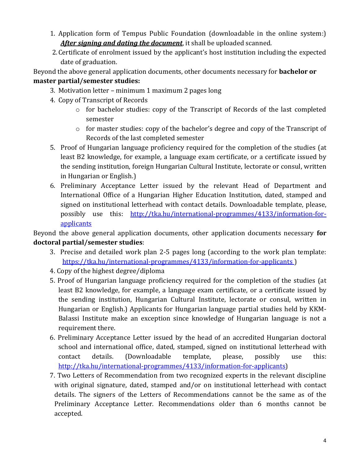- 1. Application form of Tempus Public Foundation (downloadable in the online system:) *After signing and dating the document*, it shall be uploaded scanned.
- 2.Certificate of enrolment issued by the applicant's host institution including the expected date of graduation.

Beyond the above general application documents, other documents necessary for **bachelor or master partial/semester studies:**

- 3. Motivation letter minimum 1 maximum 2 pages long
- 4. Copy of Transcript of Records
	- o for bachelor studies: copy of the Transcript of Records of the last completed semester
	- $\circ$  for master studies: copy of the bachelor's degree and copy of the Transcript of Records of the last completed semester
- 5. Proof of Hungarian language proficiency required for the completion of the studies (at least B2 knowledge, for example, a language exam certificate, or a certificate issued by the sending institution, foreign Hungarian Cultural Institute, lectorate or consul, written in Hungarian or English.)
- 6. Preliminary Acceptance Letter issued by the relevant Head of Department and International Office of a Hungarian Higher Education Institution, dated, stamped and signed on institutional letterhead with contact details. Downloadable template, please, possibly use this: [http://tka.hu/international-programmes/4133/information-for](http://tka.hu/international-programmes/4133/information-for-applicants)[applicants](http://tka.hu/international-programmes/4133/information-for-applicants)

Beyond the above general application documents, other application documents necessary **for doctoral partial/semester studies**:

- 3. Precise and detailed work plan 2-5 pages long (according to the work plan template: <https://tka.hu/international-programmes/4133/information-for-applicants> )
- 4. Copy of the highest degree/diploma
- 5. Proof of Hungarian language proficiency required for the completion of the studies (at least B2 knowledge, for example, a language exam certificate, or a certificate issued by the sending institution, Hungarian Cultural Institute, lectorate or consul, written in Hungarian or English.) Applicants for Hungarian language partial studies held by KKM-Balassi Institute make an exception since knowledge of Hungarian language is not a requirement there.
- 6. Preliminary Acceptance Letter issued by the head of an accredited Hungarian doctoral school and international office, dated, stamped, signed on institutional letterhead with contact details. (Downloadable template, please, possibly use this: [http://tka.hu/international-programmes/4133/information-for-applicants\)](http://tka.hu/international-programmes/4133/information-for-applicants)
- 7. Two Letters of Recommendation from two recognized experts in the relevant discipline with original signature, dated, stamped and/or on institutional letterhead with contact details. The signers of the Letters of Recommendations cannot be the same as of the Preliminary Acceptance Letter. Recommendations older than 6 months cannot be accepted.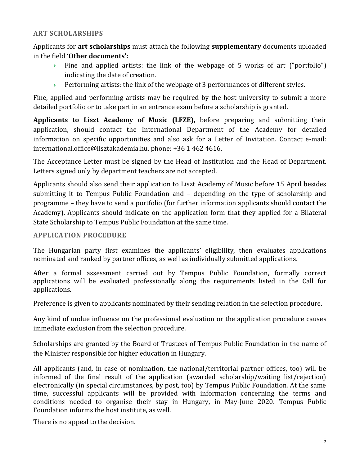## **ART SCHOLARSHIPS**

Applicants for **art scholarships** must attach the following **supplementary** documents uploaded in the field **'Other documents':** 

- Fine and applied artists: the link of the webpage of 5 works of art ("portfolio") indicating the date of creation.
- $\rightarrow$  Performing artists: the link of the webpage of 3 performances of different styles.

Fine, applied and performing artists may be required by the host university to submit a more detailed portfolio or to take part in an entrance exam before a scholarship is granted.

**Applicants to Liszt Academy of Music (LFZE),** before preparing and submitting their application, should contact the International Department of the Academy for detailed information on specific opportunities and also ask for a Letter of Invitation. Contact e-mail: [international.office@lisztakademia.hu,](mailto:international.office@lisztakademia.hu) phone: +36 1 462 4616.

The Acceptance Letter must be signed by the Head of Institution and the Head of Department. Letters signed only by department teachers are not accepted.

Applicants should also send their application to Liszt Academy of Music before 15 April besides submitting it to Tempus Public Foundation and – depending on the type of scholarship and programme – they have to send a portfolio (for further information applicants should contact the Academy). Applicants should indicate on the application form that they applied for a Bilateral State Scholarship to Tempus Public Foundation at the same time.

#### **APPLICATION PROCEDURE**

The Hungarian party first examines the applicants' eligibility, then evaluates applications nominated and ranked by partner offices, as well as individually submitted applications.

After a formal assessment carried out by Tempus Public Foundation, formally correct applications will be evaluated professionally along the requirements listed in the Call for applications.

Preference is given to applicants nominated by their sending relation in the selection procedure.

Any kind of undue influence on the professional evaluation or the application procedure causes immediate exclusion from the selection procedure.

Scholarships are granted by the Board of Trustees of Tempus Public Foundation in the name of the Minister responsible for higher education in Hungary.

All applicants (and, in case of nomination, the national/territorial partner offices, too) will be informed of the final result of the application (awarded scholarship/waiting list/rejection) electronically (in special circumstances, by post, too) by Tempus Public Foundation. At the same time, successful applicants will be provided with information concerning the terms and conditions needed to organise their stay in Hungary, in May-June 2020. Tempus Public Foundation informs the host institute, as well.

There is no appeal to the decision.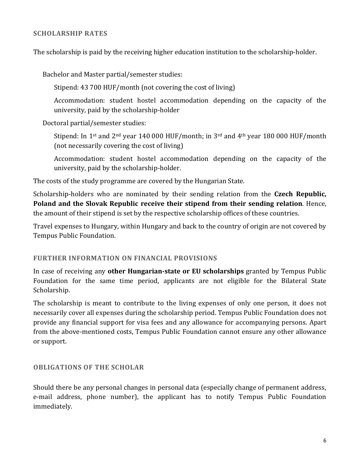#### **SCHOLARSHIP RATES**

The scholarship is paid by the receiving higher education institution to the scholarship-holder.

Bachelor and Master partial/semester studies:

Stipend: 43 700 HUF/month (not covering the cost of living)

Accommodation: student hostel accommodation depending on the capacity of the university, paid by the scholarship-holder

Doctoral partial/semester studies:

Stipend: In 1<sup>st</sup> and 2<sup>nd</sup> year 140 000 HUF/month; in 3<sup>rd</sup> and 4<sup>th</sup> year 180 000 HUF/month (not necessarily covering the cost of living)

Accommodation: student hostel accommodation depending on the capacity of the university, paid by the scholarship-holder.

The costs of the study programme are covered by the Hungarian State.

Scholarship-holders who are nominated by their sending relation from the **Czech Republic, Poland and the Slovak Republic receive their stipend from their sending relation**. Hence, the amount of their stipend is set by the respective scholarship offices of these countries.

Travel expenses to Hungary, within Hungary and back to the country of origin are not covered by Tempus Public Foundation.

#### **FURTHER INFORMATION ON FINANCIAL PROVISIONS**

In case of receiving any **other Hungarian-state or EU scholarships** granted by Tempus Public Foundation for the same time period, applicants are not eligible for the Bilateral State Scholarship.

The scholarship is meant to contribute to the living expenses of only one person, it does not necessarily cover all expenses during the scholarship period. Tempus Public Foundation does not provide any financial support for visa fees and any allowance for accompanying persons. Apart from the above-mentioned costs, Tempus Public Foundation cannot ensure any other allowance or support.

#### **OBLIGATIONS OF THE SCHOLAR**

Should there be any personal changes in personal data (especially change of permanent address, e-mail address, phone number), the applicant has to notify Tempus Public Foundation immediately.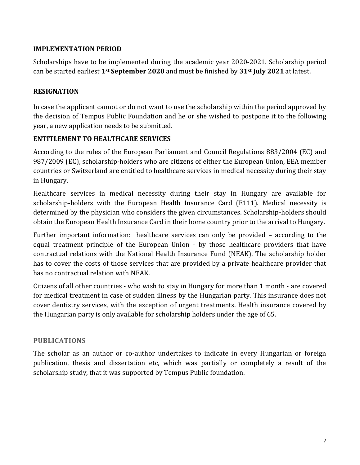## **IMPLEMENTATION PERIOD**

Scholarships have to be implemented during the academic year 2020-2021. Scholarship period can be started earliest **1st September 2020** and must be finished by **31st July 2021** at latest.

#### **RESIGNATION**

In case the applicant cannot or do not want to use the scholarship within the period approved by the decision of Tempus Public Foundation and he or she wished to postpone it to the following year, a new application needs to be submitted.

## **ENTITLEMENT TO HEALTHCARE SERVICES**

According to the rules of the European Parliament and Council Regulations 883/2004 (EC) and 987/2009 (EC), scholarship-holders who are citizens of either the European Union, EEA member countries or Switzerland are entitled to healthcare services in medical necessity during their stay in Hungary.

Healthcare services in medical necessity during their stay in Hungary are available for scholarship-holders with the European Health Insurance Card (E111). Medical necessity is determined by the physician who considers the given circumstances. Scholarship-holders should obtain the European Health Insurance Card in their home country prior to the arrival to Hungary.

Further important information: healthcare services can only be provided – according to the equal treatment principle of the European Union - by those healthcare providers that have contractual relations with the National Health Insurance Fund (NEAK). The scholarship holder has to cover the costs of those services that are provided by a private healthcare provider that has no contractual relation with NEAK.

Citizens of all other countries - who wish to stay in Hungary for more than 1 month - are covered for medical treatment in case of sudden illness by the Hungarian party. This insurance does not cover dentistry services, with the exception of urgent treatments. Health insurance covered by the Hungarian party is only available for scholarship holders under the age of 65.

#### **PUBLICATIONS**

The scholar as an author or co-author undertakes to indicate in every Hungarian or foreign publication, thesis and dissertation etc, which was partially or completely a result of the scholarship study, that it was supported by Tempus Public foundation.